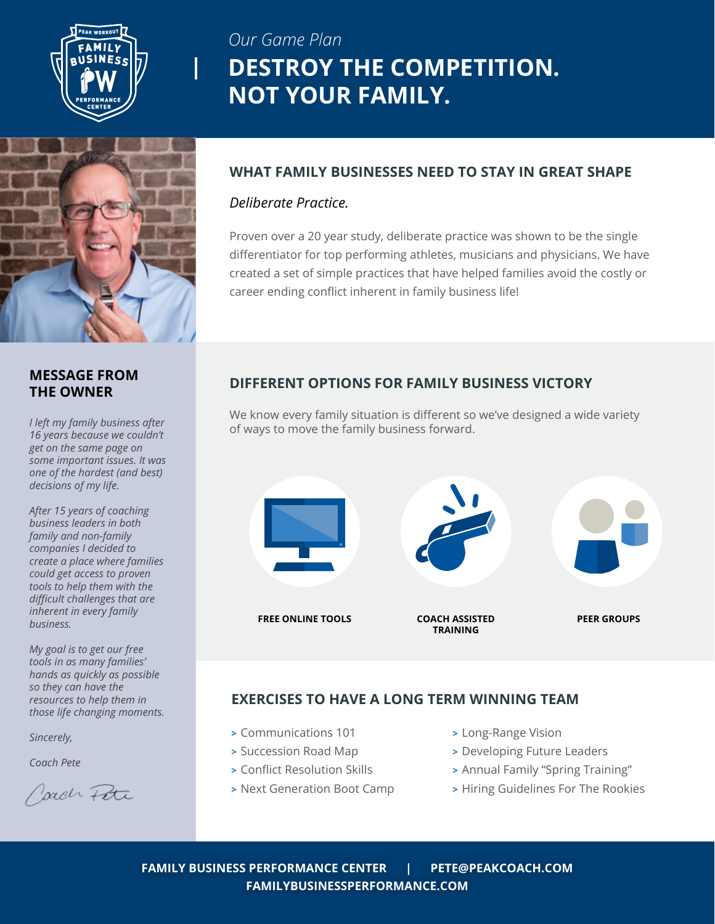

## *Our Game Plan* **DESTROY THE COMPETITION. NOT YOUR FAMILY.**



### **MESSAGE FROM THE OWNER**

*I left my family business after 16 years because we couldn't get on the same page on some important issues. It was one of the hardest (and best) decisions of my life.*

*After 15 years of coaching business leaders in both family and non-family companies I decided to create a place where families could get access to proven tools to help them with the difficult challenges that are inherent in every family business.*

*My goal is to get our free tools in as many families' hands as quickly as possible so they can have the resources to help them in those life changing moments.*

*Sincerely,*

*Coach Pete*

Jack Pete

### **WHAT FAMILY BUSINESSES NEED TO STAY IN GREAT SHAPE**

### *Deliberate Practice.*

Proven over a 20 year study, deliberate practice was shown to be the single differentiator for top performing athletes, musicians and physicians. We have created a set of simple practices that have helped families avoid the costly or career ending conflict inherent in family business life!

## **DIFFERENT OPTIONS FOR FAMILY BUSINESS VICTORY**

We know every family situation is different so we've designed a wide variety of ways to move the family business forward.



## **EXERCISES TO HAVE A LONG TERM WINNING TEAM**

- **>** Communications 101
- **>** Succession Road Map
- **>** Conflict Resolution Skills
- **>** Next Generation Boot Camp
- **>** Long-Range Vision
- **>** Developing Future Leaders
- **>** Annual Family "Spring Training"
- **>** Hiring Guidelines For The Rookies